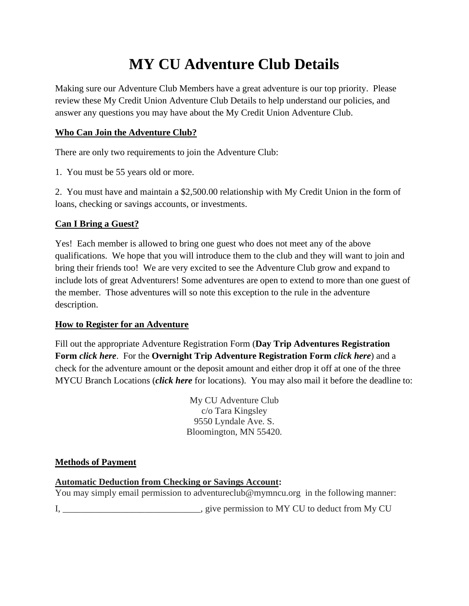# **MY CU Adventure Club Details**

Making sure our Adventure Club Members have a great adventure is our top priority. Please review these My Credit Union Adventure Club Details to help understand our policies, and answer any questions you may have about the My Credit Union Adventure Club.

# **Who Can Join the Adventure Club?**

There are only two requirements to join the Adventure Club:

1. You must be 55 years old or more.

2. You must have and maintain a \$2,500.00 relationship with My Credit Union in the form of loans, checking or savings accounts, or investments.

# **Can I Bring a Guest?**

Yes! Each member is allowed to bring one guest who does not meet any of the above qualifications. We hope that you will introduce them to the club and they will want to join and bring their friends too! We are very excited to see the Adventure Club grow and expand to include lots of great Adventurers! Some adventures are open to extend to more than one guest of the member. Those adventures will so note this exception to the rule in the adventure description.

# **How to Register for an Adventure**

Fill out the appropriate Adventure Registration Form (**Day Trip Adventures Registration Form** *click here*. For the **Overnight Trip Adventure Registration Form** *click here*) and a check for the adventure amount or the deposit amount and either drop it off at one of the three MYCU Branch Locations (*click here* for locations). You may also mail it before the deadline to:

> My CU Adventure Club c/o Tara Kingsley 9550 Lyndale Ave. S. Bloomington, MN 55420.

#### **Methods of Payment**

# **Automatic Deduction from Checking or Savings Account:**

You may simply email permission to adventureclub@mymncu.org in the following manner:

I, \_\_\_\_\_\_\_\_\_\_\_\_\_\_\_\_\_\_\_\_\_\_\_\_\_\_\_\_\_\_, give permission to MY CU to deduct from My CU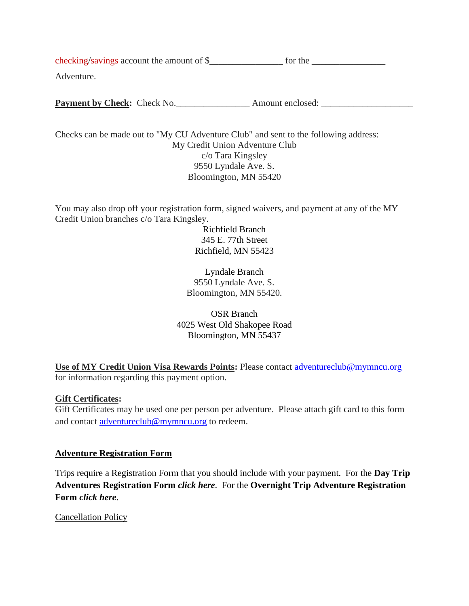checking/savings account the amount of \$\_\_\_\_\_\_\_\_\_\_\_\_\_\_\_\_ for the \_\_\_\_\_\_\_\_\_\_\_\_\_\_\_\_ Adventure.

Payment by Check: Check No.

Checks can be made out to "My CU Adventure Club" and sent to the following address: My Credit Union Adventure Club c/o Tara Kingsley 9550 Lyndale Ave. S. Bloomington, MN 55420

You may also drop off your registration form, signed waivers, and payment at any of the MY Credit Union branches c/o Tara Kingsley.

> Richfield Branch 345 E. 77th Street Richfield, MN 55423

Lyndale Branch 9550 Lyndale Ave. S. Bloomington, MN 55420.

OSR Branch 4025 West Old Shakopee Road Bloomington, MN 55437

**Use of MY Credit Union Visa Rewards Points:** Please contact [adventureclub@mymncu.org](mailto:adventureclub@mymncu.org) for information regarding this payment option.

#### **Gift Certificates:**

Gift Certificates may be used one per person per adventure. Please attach gift card to this form and contact [adventureclub@mymncu.org](mailto:adventureclub@mymncu.org) to redeem.

#### **Adventure Registration Form**

Trips require a Registration Form that you should include with your payment. For the **Day Trip Adventures Registration Form** *click here*. For the **Overnight Trip Adventure Registration Form** *click here*.

Cancellation Policy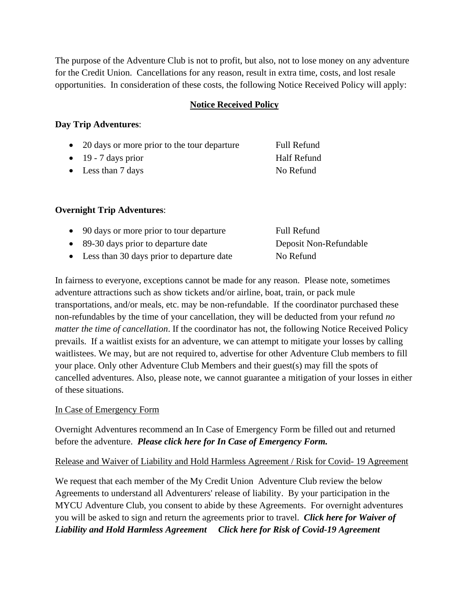The purpose of the Adventure Club is not to profit, but also, not to lose money on any adventure for the Credit Union. Cancellations for any reason, result in extra time, costs, and lost resale opportunities. In consideration of these costs, the following Notice Received Policy will apply:

#### **Notice Received Policy**

#### **Day Trip Adventures**:

| • 20 days or more prior to the tour departure | Full Refund |
|-----------------------------------------------|-------------|
| $\bullet$ 19 - 7 days prior                   | Half Refund |
| • Less than $7 \text{ days}$                  | No Refund   |

#### **Overnight Trip Adventures**:

| • 90 days or more prior to tour departure   | <b>Full Refund</b>     |
|---------------------------------------------|------------------------|
| • 89-30 days prior to departure date        | Deposit Non-Refundable |
| • Less than 30 days prior to departure date | No Refund              |

In fairness to everyone, exceptions cannot be made for any reason. Please note, sometimes adventure attractions such as show tickets and/or airline, boat, train, or pack mule transportations, and/or meals, etc. may be non-refundable. If the coordinator purchased these non-refundables by the time of your cancellation, they will be deducted from your refund *no matter the time of cancellation*. If the coordinator has not, the following Notice Received Policy prevails. If a waitlist exists for an adventure, we can attempt to mitigate your losses by calling waitlistees. We may, but are not required to, advertise for other Adventure Club members to fill your place. Only other Adventure Club Members and their guest(s) may fill the spots of cancelled adventures. Also, please note, we cannot guarantee a mitigation of your losses in either of these situations.

#### In Case of Emergency Form

Overnight Adventures recommend an In Case of Emergency Form be filled out and returned before the adventure. *Please click here for In Case of Emergency Form.*

#### Release and Waiver of Liability and Hold Harmless Agreement / Risk for Covid- 19 Agreement

We request that each member of the My Credit Union Adventure Club review the below Agreements to understand all Adventurers' release of liability. By your participation in the MYCU Adventure Club, you consent to abide by these Agreements. For overnight adventures you will be asked to sign and return the agreements prior to travel. *Click here for Waiver of Liability and Hold Harmless Agreement Click here for Risk of Covid-19 Agreement*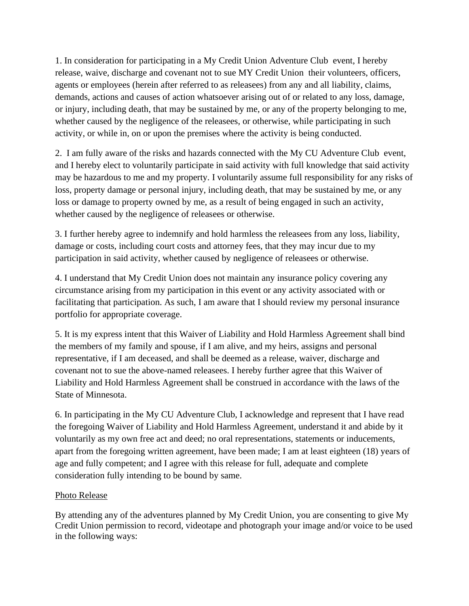1. In consideration for participating in a My Credit Union Adventure Club event, I hereby release, waive, discharge and covenant not to sue MY Credit Union their volunteers, officers, agents or employees (herein after referred to as releasees) from any and all liability, claims, demands, actions and causes of action whatsoever arising out of or related to any loss, damage, or injury, including death, that may be sustained by me, or any of the property belonging to me, whether caused by the negligence of the releasees, or otherwise, while participating in such activity, or while in, on or upon the premises where the activity is being conducted.

2. I am fully aware of the risks and hazards connected with the My CU Adventure Club event, and I hereby elect to voluntarily participate in said activity with full knowledge that said activity may be hazardous to me and my property. I voluntarily assume full responsibility for any risks of loss, property damage or personal injury, including death, that may be sustained by me, or any loss or damage to property owned by me, as a result of being engaged in such an activity, whether caused by the negligence of releasees or otherwise.

3. I further hereby agree to indemnify and hold harmless the releasees from any loss, liability, damage or costs, including court costs and attorney fees, that they may incur due to my participation in said activity, whether caused by negligence of releasees or otherwise.

4. I understand that My Credit Union does not maintain any insurance policy covering any circumstance arising from my participation in this event or any activity associated with or facilitating that participation. As such, I am aware that I should review my personal insurance portfolio for appropriate coverage.

5. It is my express intent that this Waiver of Liability and Hold Harmless Agreement shall bind the members of my family and spouse, if I am alive, and my heirs, assigns and personal representative, if I am deceased, and shall be deemed as a release, waiver, discharge and covenant not to sue the above-named releasees. I hereby further agree that this Waiver of Liability and Hold Harmless Agreement shall be construed in accordance with the laws of the State of Minnesota.

6. In participating in the My CU Adventure Club, I acknowledge and represent that I have read the foregoing Waiver of Liability and Hold Harmless Agreement, understand it and abide by it voluntarily as my own free act and deed; no oral representations, statements or inducements, apart from the foregoing written agreement, have been made; I am at least eighteen (18) years of age and fully competent; and I agree with this release for full, adequate and complete consideration fully intending to be bound by same.

#### Photo Release

By attending any of the adventures planned by My Credit Union, you are consenting to give My Credit Union permission to record, videotape and photograph your image and/or voice to be used in the following ways: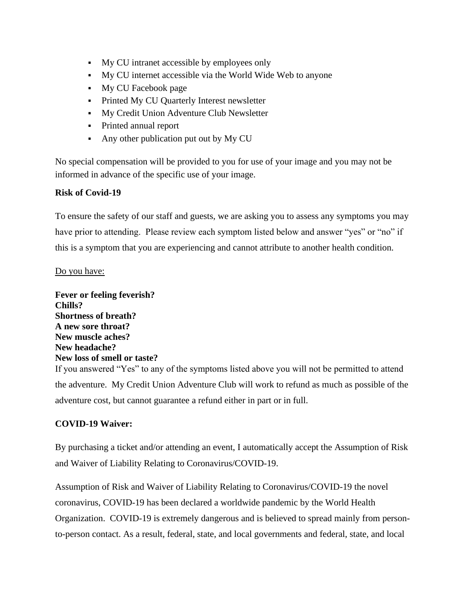- My CU intranet accessible by employees only
- My CU internet accessible via the World Wide Web to anyone
- My CU Facebook page
- **•** Printed My CU Quarterly Interest newsletter
- My Credit Union Adventure Club Newsletter
- Printed annual report
- Any other publication put out by My CU

No special compensation will be provided to you for use of your image and you may not be informed in advance of the specific use of your image.

#### **Risk of Covid-19**

To ensure the safety of our staff and guests, we are asking you to assess any symptoms you may have prior to attending. Please review each symptom listed below and answer "yes" or "no" if this is a symptom that you are experiencing and cannot attribute to another health condition.

#### Do you have:

**Fever or feeling feverish? Chills? Shortness of breath? A new sore throat? New muscle aches? New headache? New loss of smell or taste?** If you answered "Yes" to any of the symptoms listed above you will not be permitted to attend the adventure. My Credit Union Adventure Club will work to refund as much as possible of the adventure cost, but cannot guarantee a refund either in part or in full.

#### **COVID-19 Waiver:**

By purchasing a ticket and/or attending an event, I automatically accept the Assumption of Risk and Waiver of Liability Relating to Coronavirus/COVID-19.

Assumption of Risk and Waiver of Liability Relating to Coronavirus/COVID-19 the novel coronavirus, COVID-19 has been declared a worldwide pandemic by the World Health Organization. COVID-19 is extremely dangerous and is believed to spread mainly from personto-person contact. As a result, federal, state, and local governments and federal, state, and local